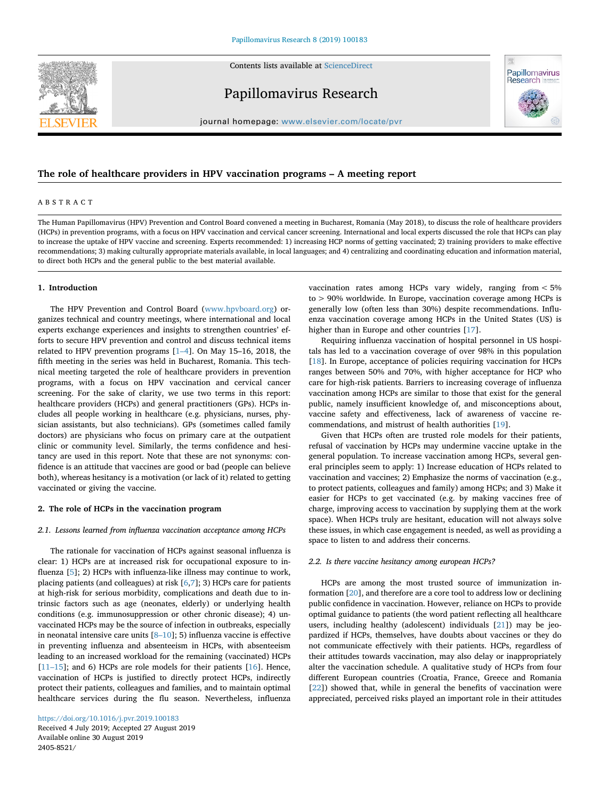Contents lists available at [ScienceDirect](http://www.sciencedirect.com/science/journal/24058521)



Papillomavirus Research



journal homepage: [www.elsevier.com/locate/pvr](https://www.elsevier.com/locate/pvr)

# **The role of healthcare providers in HPV vaccination programs – A meeting report**

## ABSTRACT

The Human Papillomavirus (HPV) Prevention and Control Board convened a meeting in Bucharest, Romania (May 2018), to discuss the role of healthcare providers (HCPs) in prevention programs, with a focus on HPV vaccination and cervical cancer screening. International and local experts discussed the role that HCPs can play to increase the uptake of HPV vaccine and screening. Experts recommended: 1) increasing HCP norms of getting vaccinated; 2) training providers to make effective recommendations; 3) making culturally appropriate materials available, in local languages; and 4) centralizing and coordinating education and information material, to direct both HCPs and the general public to the best material available.

## **1. Introduction**

The HPV Prevention and Control Board [\(www.hpvboard.org\)](http://www.hpvboard.org) organizes technical and country meetings, where international and local experts exchange experiences and insights to strengthen countries' efforts to secure HPV prevention and control and discuss technical items related to HPV prevention programs [\[1–4](#page-6-0)]. On May 15–16, 2018, the fifth meeting in the series was held in Bucharest, Romania. This technical meeting targeted the role of healthcare providers in prevention programs, with a focus on HPV vaccination and cervical cancer screening. For the sake of clarity, we use two terms in this report: healthcare providers (HCPs) and general practitioners (GPs). HCPs includes all people working in healthcare (e.g. physicians, nurses, physician assistants, but also technicians). GPs (sometimes called family doctors) are physicians who focus on primary care at the outpatient clinic or community level. Similarly, the terms confidence and hesitancy are used in this report. Note that these are not synonyms: confidence is an attitude that vaccines are good or bad (people can believe both), whereas hesitancy is a motivation (or lack of it) related to getting vaccinated or giving the vaccine.

## **2. The role of HCPs in the vaccination program**

#### *2.1. Lessons learned from influenza vaccination acceptance among HCPs*

The rationale for vaccination of HCPs against seasonal influenza is clear: 1) HCPs are at increased risk for occupational exposure to influenza [\[5\]](#page-6-1); 2) HCPs with influenza-like illness may continue to work, placing patients (and colleagues) at risk [\[6](#page-6-2)[,7\]](#page-6-3); 3) HCPs care for patients at high-risk for serious morbidity, complications and death due to intrinsic factors such as age (neonates, elderly) or underlying health conditions (e.g. immunosuppression or other chronic disease); 4) unvaccinated HCPs may be the source of infection in outbreaks, especially in neonatal intensive care units  $[8-10]$ ; 5) influenza vaccine is effective in preventing influenza and absenteeism in HCPs, with absenteeism leading to an increased workload for the remaining (vaccinated) HCPs [11-15]; and 6) HCPs are role models for their patients [[16\]](#page-7-2). Hence, vaccination of HCPs is justified to directly protect HCPs, indirectly protect their patients, colleagues and families, and to maintain optimal healthcare services during the flu season. Nevertheless, influenza

<https://doi.org/10.1016/j.pvr.2019.100183> Received 4 July 2019; Accepted 27 August 2019 Available online 30 August 2019 2405-8521/

vaccination rates among HCPs vary widely, ranging from < 5% to > 90% worldwide. In Europe, vaccination coverage among HCPs is generally low (often less than 30%) despite recommendations. Influenza vaccination coverage among HCPs in the United States (US) is higher than in Europe and other countries [\[17](#page-7-3)].

Requiring influenza vaccination of hospital personnel in US hospitals has led to a vaccination coverage of over 98% in this population [[18\]](#page-7-4). In Europe, acceptance of policies requiring vaccination for HCPs ranges between 50% and 70%, with higher acceptance for HCP who care for high-risk patients. Barriers to increasing coverage of influenza vaccination among HCPs are similar to those that exist for the general public, namely insufficient knowledge of, and misconceptions about, vaccine safety and effectiveness, lack of awareness of vaccine recommendations, and mistrust of health authorities [[19\]](#page-7-5).

Given that HCPs often are trusted role models for their patients, refusal of vaccination by HCPs may undermine vaccine uptake in the general population. To increase vaccination among HCPs, several general principles seem to apply: 1) Increase education of HCPs related to vaccination and vaccines; 2) Emphasize the norms of vaccination (e.g., to protect patients, colleagues and family) among HCPs; and 3) Make it easier for HCPs to get vaccinated (e.g. by making vaccines free of charge, improving access to vaccination by supplying them at the work space). When HCPs truly are hesitant, education will not always solve these issues, in which case engagement is needed, as well as providing a space to listen to and address their concerns.

## *2.2. Is there vaccine hesitancy among european HCPs?*

HCPs are among the most trusted source of immunization information [[20\]](#page-7-6), and therefore are a core tool to address low or declining public confidence in vaccination. However, reliance on HCPs to provide optimal guidance to patients (the word patient reflecting all healthcare users, including healthy (adolescent) individuals [\[21](#page-7-7)]) may be jeopardized if HCPs, themselves, have doubts about vaccines or they do not communicate effectively with their patients. HCPs, regardless of their attitudes towards vaccination, may also delay or inappropriately alter the vaccination schedule. A qualitative study of HCPs from four different European countries (Croatia, France, Greece and Romania [[22\]](#page-7-8)) showed that, while in general the benefits of vaccination were appreciated, perceived risks played an important role in their attitudes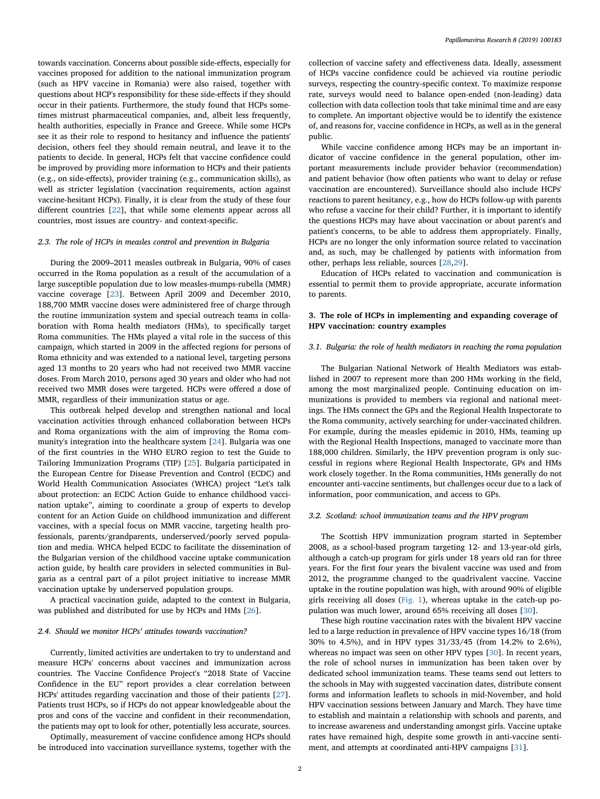towards vaccination. Concerns about possible side-effects, especially for vaccines proposed for addition to the national immunization program (such as HPV vaccine in Romania) were also raised, together with questions about HCP's responsibility for these side-effects if they should occur in their patients. Furthermore, the study found that HCPs sometimes mistrust pharmaceutical companies, and, albeit less frequently, health authorities, especially in France and Greece. While some HCPs see it as their role to respond to hesitancy and influence the patients' decision, others feel they should remain neutral, and leave it to the patients to decide. In general, HCPs felt that vaccine confidence could be improved by providing more information to HCPs and their patients (e.g., on side-effects), provider training (e.g., communication skills), as well as stricter legislation (vaccination requirements, action against vaccine-hesitant HCPs). Finally, it is clear from the study of these four different countries [\[22](#page-7-8)], that while some elements appear across all countries, most issues are country- and context-specific.

## *2.3. The role of HCPs in measles control and prevention in Bulgaria*

During the 2009–2011 measles outbreak in Bulgaria, 90% of cases occurred in the Roma population as a result of the accumulation of a large susceptible population due to low measles-mumps-rubella (MMR) vaccine coverage [\[23](#page-7-9)]. Between April 2009 and December 2010, 188,700 MMR vaccine doses were administered free of charge through the routine immunization system and special outreach teams in collaboration with Roma health mediators (HMs), to specifically target Roma communities. The HMs played a vital role in the success of this campaign, which started in 2009 in the affected regions for persons of Roma ethnicity and was extended to a national level, targeting persons aged 13 months to 20 years who had not received two MMR vaccine doses. From March 2010, persons aged 30 years and older who had not received two MMR doses were targeted. HCPs were offered a dose of MMR, regardless of their immunization status or age.

This outbreak helped develop and strengthen national and local vaccination activities through enhanced collaboration between HCPs and Roma organizations with the aim of improving the Roma community's integration into the healthcare system [[24\]](#page-7-10). Bulgaria was one of the first countries in the WHO EURO region to test the Guide to Tailoring Immunization Programs (TIP) [\[25](#page-7-11)]. Bulgaria participated in the European Centre for Disease Prevention and Control (ECDC) and World Health Communication Associates (WHCA) project "Let's talk about protection: an ECDC Action Guide to enhance childhood vaccination uptake", aiming to coordinate a group of experts to develop content for an Action Guide on childhood immunization and different vaccines, with a special focus on MMR vaccine, targeting health professionals, parents/grandparents, underserved/poorly served population and media. WHCA helped ECDC to facilitate the dissemination of the Bulgarian version of the childhood vaccine uptake communication action guide, by health care providers in selected communities in Bulgaria as a central part of a pilot project initiative to increase MMR vaccination uptake by underserved population groups.

A practical vaccination guide, adapted to the context in Bulgaria, was published and distributed for use by HCPs and HMs [[26\]](#page-7-12).

#### *2.4. Should we monitor HCPs' attitudes towards vaccination?*

Currently, limited activities are undertaken to try to understand and measure HCPs' concerns about vaccines and immunization across countries. The Vaccine Confidence Project's "2018 State of Vaccine Confidence in the EU" report provides a clear correlation between HCPs' attitudes regarding vaccination and those of their patients [\[27](#page-7-13)]. Patients trust HCPs, so if HCPs do not appear knowledgeable about the pros and cons of the vaccine and confident in their recommendation, the patients may opt to look for other, potentially less accurate, sources.

Optimally, measurement of vaccine confidence among HCPs should be introduced into vaccination surveillance systems, together with the collection of vaccine safety and effectiveness data. Ideally, assessment of HCPs vaccine confidence could be achieved via routine periodic surveys, respecting the country-specific context. To maximize response rate, surveys would need to balance open-ended (non-leading) data collection with data collection tools that take minimal time and are easy to complete. An important objective would be to identify the existence of, and reasons for, vaccine confidence in HCPs, as well as in the general public.

While vaccine confidence among HCPs may be an important indicator of vaccine confidence in the general population, other important measurements include provider behavior (recommendation) and patient behavior (how often patients who want to delay or refuse vaccination are encountered). Surveillance should also include HCPs' reactions to parent hesitancy, e.g., how do HCPs follow-up with parents who refuse a vaccine for their child? Further, it is important to identify the questions HCPs may have about vaccination or about parent's and patient's concerns, to be able to address them appropriately. Finally, HCPs are no longer the only information source related to vaccination and, as such, may be challenged by patients with information from other, perhaps less reliable, sources [\[28](#page-7-14)[,29](#page-7-15)].

Education of HCPs related to vaccination and communication is essential to permit them to provide appropriate, accurate information to parents.

## **3. The role of HCPs in implementing and expanding coverage of HPV vaccination: country examples**

# *3.1. Bulgaria: the role of health mediators in reaching the roma population*

The Bulgarian National Network of Health Mediators was established in 2007 to represent more than 200 HMs working in the field, among the most marginalized people. Continuing education on immunizations is provided to members via regional and national meetings. The HMs connect the GPs and the Regional Health Inspectorate to the Roma community, actively searching for under-vaccinated children. For example, during the measles epidemic in 2010, HMs, teaming up with the Regional Health Inspections, managed to vaccinate more than 188,000 children. Similarly, the HPV prevention program is only successful in regions where Regional Health Inspectorate, GPs and HMs work closely together. In the Roma communities, HMs generally do not encounter anti-vaccine sentiments, but challenges occur due to a lack of information, poor communication, and access to GPs.

### *3.2. Scotland: school immunization teams and the HPV program*

The Scottish HPV immunization program started in September 2008, as a school-based program targeting 12- and 13-year-old girls, although a catch-up program for girls under 18 years old ran for three years. For the first four years the bivalent vaccine was used and from 2012, the programme changed to the quadrivalent vaccine. Vaccine uptake in the routine population was high, with around 90% of eligible girls receiving all doses ([Fig. 1\)](#page-2-0), whereas uptake in the catch-up population was much lower, around 65% receiving all doses [[30\]](#page-7-16).

These high routine vaccination rates with the bivalent HPV vaccine led to a large reduction in prevalence of HPV vaccine types 16/18 (from 30% to 4.5%), and in HPV types 31/33/45 (from 14.2% to 2.6%), whereas no impact was seen on other HPV types [[30\]](#page-7-16). In recent years, the role of school nurses in immunization has been taken over by dedicated school immunization teams. These teams send out letters to the schools in May with suggested vaccination dates, distribute consent forms and information leaflets to schools in mid-November, and hold HPV vaccination sessions between January and March. They have time to establish and maintain a relationship with schools and parents, and to increase awareness and understanding amongst girls. Vaccine uptake rates have remained high, despite some growth in anti-vaccine sentiment, and attempts at coordinated anti-HPV campaigns [[31\]](#page-7-17).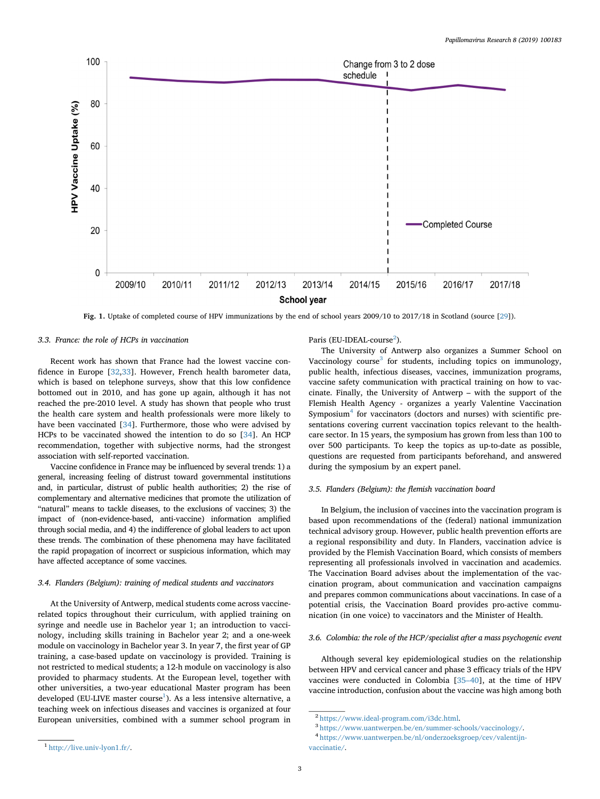<span id="page-2-0"></span>

**Fig. 1.** Uptake of completed course of HPV immunizations by the end of school years 2009/10 to 2017/18 in Scotland (source [\[29\]](#page-7-15)).

## *3.3. France: the role of HCPs in vaccination*

Recent work has shown that France had the lowest vaccine confidence in Europe [[32,](#page-7-18)[33](#page-7-19)]. However, French health barometer data, which is based on telephone surveys, show that this low confidence bottomed out in 2010, and has gone up again, although it has not reached the pre-2010 level. A study has shown that people who trust the health care system and health professionals were more likely to have been vaccinated [[34\]](#page-7-20). Furthermore, those who were advised by HCPs to be vaccinated showed the intention to do so [[34\]](#page-7-20). An HCP recommendation, together with subjective norms, had the strongest association with self-reported vaccination.

Vaccine confidence in France may be influenced by several trends: 1) a general, increasing feeling of distrust toward governmental institutions and, in particular, distrust of public health authorities; 2) the rise of complementary and alternative medicines that promote the utilization of "natural" means to tackle diseases, to the exclusions of vaccines; 3) the impact of (non-evidence-based, anti-vaccine) information amplified through social media, and 4) the indifference of global leaders to act upon these trends. The combination of these phenomena may have facilitated the rapid propagation of incorrect or suspicious information, which may have affected acceptance of some vaccines.

### *3.4. Flanders (Belgium): training of medical students and vaccinators*

At the University of Antwerp, medical students come across vaccinerelated topics throughout their curriculum, with applied training on syringe and needle use in Bachelor year 1; an introduction to vaccinology, including skills training in Bachelor year 2; and a one-week module on vaccinology in Bachelor year 3. In year 7, the first year of GP training, a case-based update on vaccinology is provided. Training is not restricted to medical students; a 12-h module on vaccinology is also provided to pharmacy students. At the European level, together with other universities, a two-year educational Master program has been developed (EU-LIVE master course $^1$  $^1$ ). As a less intensive alternative, a teaching week on infectious diseases and vaccines is organized at four European universities, combined with a summer school program in Paris (EU-IDEAL-course<sup>[2](#page-2-2)</sup>).

The University of Antwerp also organizes a Summer School on Vaccinology course<sup>[3](#page-2-3)</sup> for students, including topics on immunology, public health, infectious diseases, vaccines, immunization programs, vaccine safety communication with practical training on how to vaccinate. Finally, the University of Antwerp – with the support of the Flemish Health Agency - organizes a yearly Valentine Vaccination Symposium<sup>4</sup> for vaccinators (doctors and nurses) with scientific presentations covering current vaccination topics relevant to the healthcare sector. In 15 years, the symposium has grown from less than 100 to over 500 participants. To keep the topics as up-to-date as possible, questions are requested from participants beforehand, and answered during the symposium by an expert panel.

#### *3.5. Flanders (Belgium): the flemish vaccination board*

In Belgium, the inclusion of vaccines into the vaccination program is based upon recommendations of the (federal) national immunization technical advisory group. However, public health prevention efforts are a regional responsibility and duty. In Flanders, vaccination advice is provided by the Flemish Vaccination Board, which consists of members representing all professionals involved in vaccination and academics. The Vaccination Board advises about the implementation of the vaccination program, about communication and vaccination campaigns and prepares common communications about vaccinations. In case of a potential crisis, the Vaccination Board provides pro-active communication (in one voice) to vaccinators and the Minister of Health.

#### *3.6. Colombia: the role of the HCP/specialist after a mass psychogenic event*

Although several key epidemiological studies on the relationship between HPV and cervical cancer and phase 3 efficacy trials of the HPV vaccines were conducted in Colombia [[35–40\]](#page-7-21), at the time of HPV vaccine introduction, confusion about the vaccine was high among both

<span id="page-2-2"></span><sup>2</sup> <https://www.ideal-program.com/i3dc.html>.

<span id="page-2-3"></span><sup>3</sup> [https://www.uantwerpen.be/en/summer-schools/vaccinology/.](https://www.uantwerpen.be/en/summer-schools/vaccinology/)

<span id="page-2-4"></span><sup>4</sup> [https://www.uantwerpen.be/nl/onderzoeksgroep/cev/valentijn](https://www.uantwerpen.be/nl/onderzoeksgroep/cev/valentijn-vaccinatie/)[vaccinatie/](https://www.uantwerpen.be/nl/onderzoeksgroep/cev/valentijn-vaccinatie/).

<span id="page-2-1"></span><sup>1</sup> <http://live.univ-lyon1.fr/>.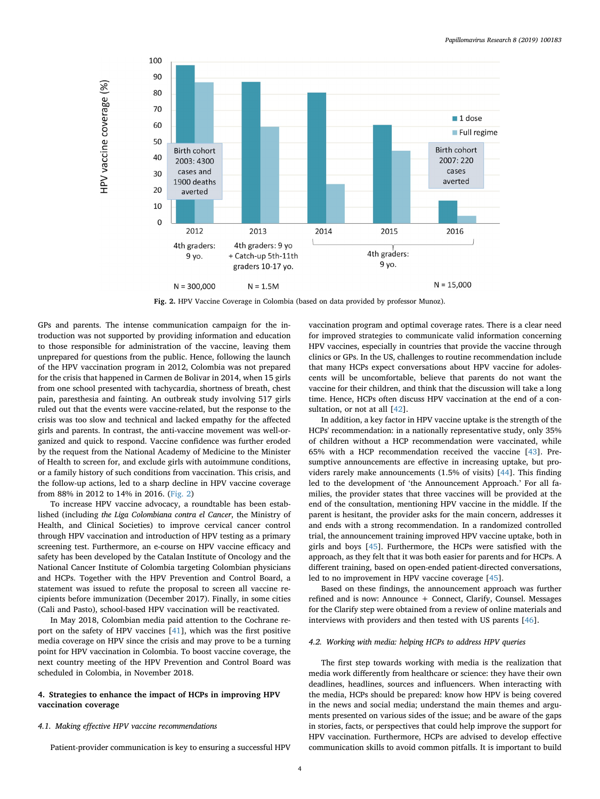<span id="page-3-0"></span>

**Fig. 2.** HPV Vaccine Coverage in Colombia (based on data provided by professor Munoz).

GPs and parents. The intense communication campaign for the introduction was not supported by providing information and education to those responsible for administration of the vaccine, leaving them unprepared for questions from the public. Hence, following the launch of the HPV vaccination program in 2012, Colombia was not prepared for the crisis that happened in Carmen de Bolivar in 2014, when 15 girls from one school presented with tachycardia, shortness of breath, chest pain, paresthesia and fainting. An outbreak study involving 517 girls ruled out that the events were vaccine-related, but the response to the crisis was too slow and technical and lacked empathy for the affected girls and parents. In contrast, the anti-vaccine movement was well-organized and quick to respond. Vaccine confidence was further eroded by the request from the National Academy of Medicine to the Minister of Health to screen for, and exclude girls with autoimmune conditions, or a family history of such conditions from vaccination. This crisis, and the follow-up actions, led to a sharp decline in HPV vaccine coverage from 88% in 2012 to 14% in 2016. [\(Fig. 2\)](#page-3-0)

To increase HPV vaccine advocacy, a roundtable has been established (including *the Liga Colombiana contra el Cancer*, the Ministry of Health, and Clinical Societies) to improve cervical cancer control through HPV vaccination and introduction of HPV testing as a primary screening test. Furthermore, an e-course on HPV vaccine efficacy and safety has been developed by the Catalan Institute of Oncology and the National Cancer Institute of Colombia targeting Colombian physicians and HCPs. Together with the HPV Prevention and Control Board, a statement was issued to refute the proposal to screen all vaccine recipients before immunization (December 2017). Finally, in some cities (Cali and Pasto), school-based HPV vaccination will be reactivated.

In May 2018, Colombian media paid attention to the Cochrane report on the safety of HPV vaccines [[41\]](#page-7-22), which was the first positive media coverage on HPV since the crisis and may prove to be a turning point for HPV vaccination in Colombia. To boost vaccine coverage, the next country meeting of the HPV Prevention and Control Board was scheduled in Colombia, in November 2018.

## **4. Strategies to enhance the impact of HCPs in improving HPV vaccination coverage**

## *4.1. Making effective HPV vaccine recommendations*

Patient-provider communication is key to ensuring a successful HPV

vaccination program and optimal coverage rates. There is a clear need for improved strategies to communicate valid information concerning HPV vaccines, especially in countries that provide the vaccine through clinics or GPs. In the US, challenges to routine recommendation include that many HCPs expect conversations about HPV vaccine for adolescents will be uncomfortable, believe that parents do not want the vaccine for their children, and think that the discussion will take a long time. Hence, HCPs often discuss HPV vaccination at the end of a con-sultation, or not at all [[42\]](#page-7-23).

In addition, a key factor in HPV vaccine uptake is the strength of the HCPs' recommendation: in a nationally representative study, only 35% of children without a HCP recommendation were vaccinated, while 65% with a HCP recommendation received the vaccine [\[43](#page-7-24)]. Presumptive announcements are effective in increasing uptake, but providers rarely make announcements (1.5% of visits) [[44\]](#page-7-25). This finding led to the development of 'the Announcement Approach.' For all families, the provider states that three vaccines will be provided at the end of the consultation, mentioning HPV vaccine in the middle. If the parent is hesitant, the provider asks for the main concern, addresses it and ends with a strong recommendation. In a randomized controlled trial, the announcement training improved HPV vaccine uptake, both in girls and boys [\[45](#page-7-26)]. Furthermore, the HCPs were satisfied with the approach, as they felt that it was both easier for parents and for HCPs. A different training, based on open-ended patient-directed conversations, led to no improvement in HPV vaccine coverage [[45\]](#page-7-26).

Based on these findings, the announcement approach was further refined and is now: Announce + Connect, Clarify, Counsel. Messages for the Clarify step were obtained from a review of online materials and interviews with providers and then tested with US parents [\[46](#page-7-27)].

#### *4.2. Working with media: helping HCPs to address HPV queries*

The first step towards working with media is the realization that media work differently from healthcare or science: they have their own deadlines, headlines, sources and influencers. When interacting with the media, HCPs should be prepared: know how HPV is being covered in the news and social media; understand the main themes and arguments presented on various sides of the issue; and be aware of the gaps in stories, facts, or perspectives that could help improve the support for HPV vaccination. Furthermore, HCPs are advised to develop effective communication skills to avoid common pitfalls. It is important to build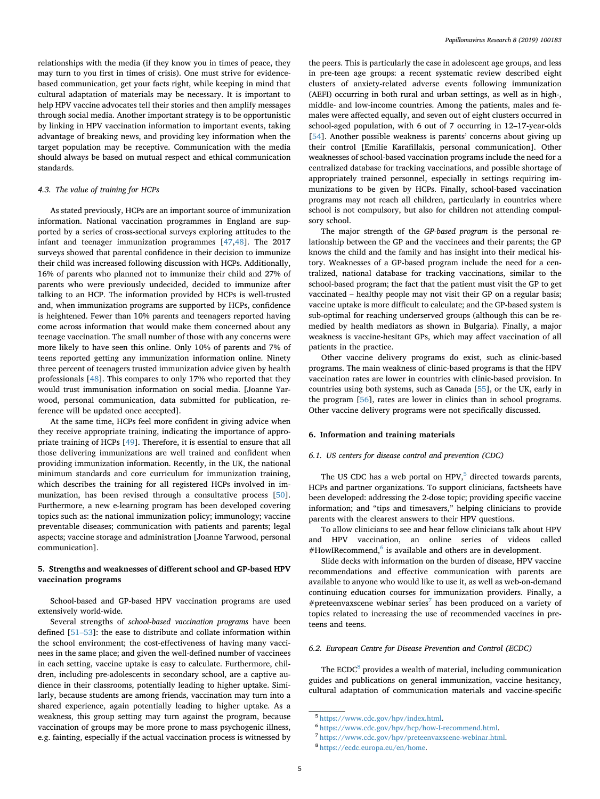relationships with the media (if they know you in times of peace, they may turn to you first in times of crisis). One must strive for evidencebased communication, get your facts right, while keeping in mind that cultural adaptation of materials may be necessary. It is important to help HPV vaccine advocates tell their stories and then amplify messages through social media. Another important strategy is to be opportunistic by linking in HPV vaccination information to important events, taking advantage of breaking news, and providing key information when the target population may be receptive. Communication with the media should always be based on mutual respect and ethical communication standards.

## *4.3. The value of training for HCPs*

As stated previously, HCPs are an important source of immunization information. National vaccination programmes in England are supported by a series of cross-sectional surveys exploring attitudes to the infant and teenager immunization programmes [\[47](#page-7-28)[,48](#page-7-29)]. The 2017 surveys showed that parental confidence in their decision to immunize their child was increased following discussion with HCPs. Additionally, 16% of parents who planned not to immunize their child and 27% of parents who were previously undecided, decided to immunize after talking to an HCP. The information provided by HCPs is well-trusted and, when immunization programs are supported by HCPs, confidence is heightened. Fewer than 10% parents and teenagers reported having come across information that would make them concerned about any teenage vaccination. The small number of those with any concerns were more likely to have seen this online. Only 10% of parents and 7% of teens reported getting any immunization information online. Ninety three percent of teenagers trusted immunization advice given by health professionals [\[48](#page-7-29)]. This compares to only 17% who reported that they would trust immunisation information on social media. [Joanne Yarwood, personal communication, data submitted for publication, reference will be updated once accepted].

At the same time, HCPs feel more confident in giving advice when they receive appropriate training, indicating the importance of appropriate training of HCPs [[49\]](#page-7-30). Therefore, it is essential to ensure that all those delivering immunizations are well trained and confident when providing immunization information. Recently, in the UK, the national minimum standards and core curriculum for immunization training, which describes the training for all registered HCPs involved in immunization, has been revised through a consultative process [\[50](#page-7-31)]. Furthermore, a new e-learning program has been developed covering topics such as: the national immunization policy; immunology; vaccine preventable diseases; communication with patients and parents; legal aspects; vaccine storage and administration [Joanne Yarwood, personal communication].

## **5. Strengths and weaknesses of different school and GP-based HPV vaccination programs**

School-based and GP-based HPV vaccination programs are used extensively world-wide.

Several strengths of *school-based vaccination programs* have been defined [\[51–53](#page-7-32)]: the ease to distribute and collate information within the school environment; the cost-effectiveness of having many vaccinees in the same place; and given the well-defined number of vaccinees in each setting, vaccine uptake is easy to calculate. Furthermore, children, including pre-adolescents in secondary school, are a captive audience in their classrooms, potentially leading to higher uptake. Similarly, because students are among friends, vaccination may turn into a shared experience, again potentially leading to higher uptake. As a weakness, this group setting may turn against the program, because vaccination of groups may be more prone to mass psychogenic illness, e.g. fainting, especially if the actual vaccination process is witnessed by

the peers. This is particularly the case in adolescent age groups, and less in pre-teen age groups: a recent systematic review described eight clusters of anxiety-related adverse events following immunization (AEFI) occurring in both rural and urban settings, as well as in high-, middle- and low-income countries. Among the patients, males and females were affected equally, and seven out of eight clusters occurred in school-aged population, with 6 out of 7 occurring in 12–17-year-olds [[54\]](#page-7-33). Another possible weakness is parents' concerns about giving up their control [Emilie Karafillakis, personal communication]. Other weaknesses of school-based vaccination programs include the need for a centralized database for tracking vaccinations, and possible shortage of appropriately trained personnel, especially in settings requiring immunizations to be given by HCPs. Finally, school-based vaccination programs may not reach all children, particularly in countries where school is not compulsory, but also for children not attending compulsory school.

The major strength of the *GP-based program* is the personal relationship between the GP and the vaccinees and their parents; the GP knows the child and the family and has insight into their medical history. Weaknesses of a GP-based program include the need for a centralized, national database for tracking vaccinations, similar to the school-based program; the fact that the patient must visit the GP to get vaccinated – healthy people may not visit their GP on a regular basis; vaccine uptake is more difficult to calculate; and the GP-based system is sub-optimal for reaching underserved groups (although this can be remedied by health mediators as shown in Bulgaria). Finally, a major weakness is vaccine-hesitant GPs, which may affect vaccination of all patients in the practice.

Other vaccine delivery programs do exist, such as clinic-based programs. The main weakness of clinic-based programs is that the HPV vaccination rates are lower in countries with clinic-based provision. In countries using both systems, such as Canada [[55\]](#page-7-34), or the UK, early in the program [\[56](#page-7-35)], rates are lower in clinics than in school programs. Other vaccine delivery programs were not specifically discussed.

# **6. Information and training materials**

#### *6.1. US centers for disease control and prevention (CDC)*

The US CDC has a web portal on HPV, $5$  directed towards parents, HCPs and partner organizations. To support clinicians, factsheets have been developed: addressing the 2-dose topic; providing specific vaccine information; and "tips and timesavers," helping clinicians to provide parents with the clearest answers to their HPV questions.

To allow clinicians to see and hear fellow clinicians talk about HPV and HPV vaccination, an online series of videos called  $#$ HowIRecommend, $^6$  is available and others are in development.

Slide decks with information on the burden of disease, HPV vaccine recommendations and effective communication with parents are available to anyone who would like to use it, as well as web-on-demand continuing education courses for immunization providers. Finally, a #preteenvaxscene webinar series<sup>[7](#page-4-2)</sup> has been produced on a variety of topics related to increasing the use of recommended vaccines in preteens and teens.

# *6.2. European Centre for Disease Prevention and Control (ECDC)*

The ECDC<sup>[8](#page-4-3)</sup> provides a wealth of material, including communication guides and publications on general immunization, vaccine hesitancy, cultural adaptation of communication materials and vaccine-specific

<span id="page-4-0"></span><sup>5</sup> [https://www.cdc.gov/hpv/index.html.](https://www.cdc.gov/hpv/index.html)

<span id="page-4-1"></span><sup>6</sup> <https://www.cdc.gov/hpv/hcp/how-I-recommend.html>.

<span id="page-4-2"></span><sup>7</sup> [https://www.cdc.gov/hpv/preteenvaxscene-webinar.html.](https://www.cdc.gov/hpv/preteenvaxscene-webinar.html)

<span id="page-4-3"></span><sup>8</sup> <https://ecdc.europa.eu/en/home>.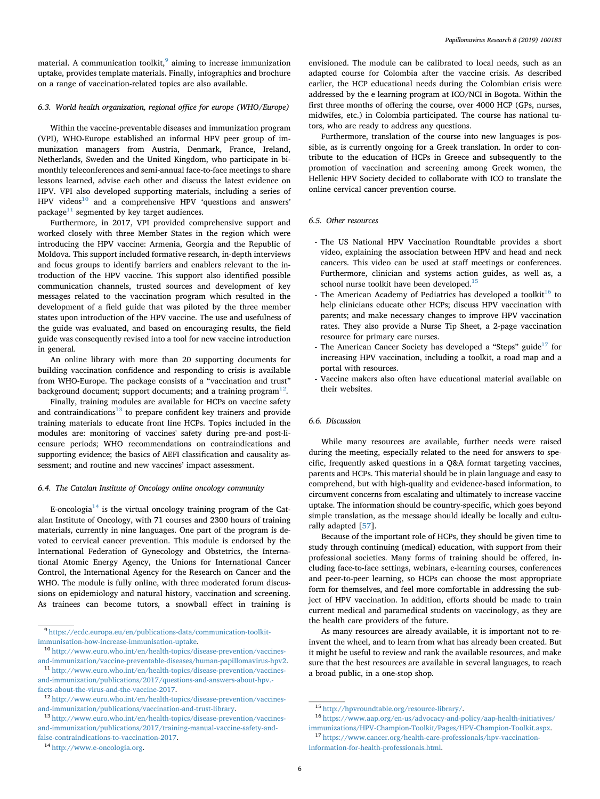material. A communication toolkit, $9$  aiming to increase immunization uptake, provides template materials. Finally, infographics and brochure on a range of vaccination-related topics are also available.

## *6.3. World health organization, regional office for europe (WHO/Europe)*

Within the vaccine-preventable diseases and immunization program (VPI), WHO-Europe established an informal HPV peer group of immunization managers from Austria, Denmark, France, Ireland, Netherlands, Sweden and the United Kingdom, who participate in bimonthly teleconferences and semi-annual face-to-face meetings to share lessons learned, advise each other and discuss the latest evidence on HPV. VPI also developed supporting materials, including a series of HPV videos<sup>10</sup> and a comprehensive HPV 'questions and answers' package $11$  segmented by key target audiences.

Furthermore, in 2017, VPI provided comprehensive support and worked closely with three Member States in the region which were introducing the HPV vaccine: Armenia, Georgia and the Republic of Moldova. This support included formative research, in-depth interviews and focus groups to identify barriers and enablers relevant to the introduction of the HPV vaccine. This support also identified possible communication channels, trusted sources and development of key messages related to the vaccination program which resulted in the development of a field guide that was piloted by the three member states upon introduction of the HPV vaccine. The use and usefulness of the guide was evaluated, and based on encouraging results, the field guide was consequently revised into a tool for new vaccine introduction in general.

An online library with more than 20 supporting documents for building vaccination confidence and responding to crisis is available from WHO-Europe. The package consists of a "vaccination and trust" background document; support documents; and a training program $^{12}$  $^{12}$  $^{12}$ .

Finally, training modules are available for HCPs on vaccine safety and contraindications $13$  to prepare confident key trainers and provide training materials to educate front line HCPs. Topics included in the modules are: monitoring of vaccines' safety during pre-and post-licensure periods; WHO recommendations on contraindications and supporting evidence; the basics of AEFI classification and causality assessment; and routine and new vaccines' impact assessment.

### *6.4. The Catalan Institute of Oncology online oncology community*

E-oncologia $^{14}$  $^{14}$  $^{14}$  is the virtual oncology training program of the Catalan Institute of Oncology, with 71 courses and 2300 hours of training materials, currently in nine languages. One part of the program is devoted to cervical cancer prevention. This module is endorsed by the International Federation of Gynecology and Obstetrics, the International Atomic Energy Agency, the Unions for International Cancer Control, the International Agency for the Research on Cancer and the WHO. The module is fully online, with three moderated forum discussions on epidemiology and natural history, vaccination and screening. As trainees can become tutors, a snowball effect in training is

<span id="page-5-0"></span><sup>9</sup> [https://ecdc.europa.eu/en/publications-data/communication-toolkit](https://ecdc.europa.eu/en/publications-data/communication-toolkit-immunisation-how-increase-immunisation-uptake)[immunisation-how-increase-immunisation-uptake](https://ecdc.europa.eu/en/publications-data/communication-toolkit-immunisation-how-increase-immunisation-uptake).

<span id="page-5-1"></span><sup>10</sup> [http://www.euro.who.int/en/health-topics/disease-prevention/vaccines](http://www.euro.who.int/en/health-topics/disease-prevention/vaccines-and-immunization/vaccine-preventable-diseases/human-papillomavirus-hpv2)[and-immunization/vaccine-preventable-diseases/human-papillomavirus-hpv2](http://www.euro.who.int/en/health-topics/disease-prevention/vaccines-and-immunization/vaccine-preventable-diseases/human-papillomavirus-hpv2).

<span id="page-5-2"></span> $^{\rm 11}$  [http://www.euro.who.int/en/health-topics/disease-prevention/vaccines](http://www.euro.who.int/en/health-topics/disease-prevention/vaccines-and-immunization/publications/2017/questions-and-answers-about-hpv.-facts-about-the-virus-and-the-vaccine-2017)[and-immunization/publications/2017/questions-and-answers-about-hpv.](http://www.euro.who.int/en/health-topics/disease-prevention/vaccines-and-immunization/publications/2017/questions-and-answers-about-hpv.-facts-about-the-virus-and-the-vaccine-2017) [facts-about-the-virus-and-the-vaccine-2017.](http://www.euro.who.int/en/health-topics/disease-prevention/vaccines-and-immunization/publications/2017/questions-and-answers-about-hpv.-facts-about-the-virus-and-the-vaccine-2017)

<span id="page-5-5"></span><sup>14</sup> [http://www.e-oncologia.org.](http://www.e-oncologia.org)

envisioned. The module can be calibrated to local needs, such as an adapted course for Colombia after the vaccine crisis. As described earlier, the HCP educational needs during the Colombian crisis were addressed by the e learning program at ICO/NCI in Bogota. Within the first three months of offering the course, over 4000 HCP (GPs, nurses, midwifes, etc.) in Colombia participated. The course has national tutors, who are ready to address any questions.

Furthermore, translation of the course into new languages is possible, as is currently ongoing for a Greek translation. In order to contribute to the education of HCPs in Greece and subsequently to the promotion of vaccination and screening among Greek women, the Hellenic HPV Society decided to collaborate with ICO to translate the online cervical cancer prevention course.

## *6.5. Other resources*

- The US National HPV Vaccination Roundtable provides a short video, explaining the association between HPV and head and neck cancers. This video can be used at staff meetings or conferences. Furthermore, clinician and systems action guides, as well as, a school nurse toolkit have been developed.<sup>15</sup>
- The American Academy of Pediatrics has developed a toolkit<sup>[16](#page-5-7)</sup> to help clinicians educate other HCPs; discuss HPV vaccination with parents; and make necessary changes to improve HPV vaccination rates. They also provide a Nurse Tip Sheet, a 2-page vaccination resource for primary care nurses.
- The American Cancer Society has developed a "Steps" guide<sup>[17](#page-5-8)</sup> for increasing HPV vaccination, including a toolkit, a road map and a portal with resources.
- Vaccine makers also often have educational material available on their websites.

### *6.6. Discussion*

While many resources are available, further needs were raised during the meeting, especially related to the need for answers to specific, frequently asked questions in a Q&A format targeting vaccines, parents and HCPs. This material should be in plain language and easy to comprehend, but with high-quality and evidence-based information, to circumvent concerns from escalating and ultimately to increase vaccine uptake. The information should be country-specific, which goes beyond simple translation, as the message should ideally be locally and culturally adapted [[57\]](#page-7-36).

Because of the important role of HCPs, they should be given time to study through continuing (medical) education, with support from their professional societies. Many forms of training should be offered, including face-to-face settings, webinars, e-learning courses, conferences and peer-to-peer learning, so HCPs can choose the most appropriate form for themselves, and feel more comfortable in addressing the subject of HPV vaccination. In addition, efforts should be made to train current medical and paramedical students on vaccinology, as they are the health care providers of the future.

As many resources are already available, it is important not to reinvent the wheel, and to learn from what has already been created. But it might be useful to review and rank the available resources, and make sure that the best resources are available in several languages, to reach a broad public, in a one-stop shop.

<span id="page-5-3"></span><sup>12</sup> [http://www.euro.who.int/en/health-topics/disease-prevention/vaccines](http://www.euro.who.int/en/health-topics/disease-prevention/vaccines-and-immunization/publications/vaccination-and-trust-library)[and-immunization/publications/vaccination-and-trust-library.](http://www.euro.who.int/en/health-topics/disease-prevention/vaccines-and-immunization/publications/vaccination-and-trust-library)

<span id="page-5-4"></span><sup>13</sup> [http://www.euro.who.int/en/health-topics/disease-prevention/vaccines](http://www.euro.who.int/en/health-topics/disease-prevention/vaccines-and-immunization/publications/2017/training-manual-vaccine-safety-and-false-contraindications-to-vaccination-2017)[and-immunization/publications/2017/training-manual-vaccine-safety-and](http://www.euro.who.int/en/health-topics/disease-prevention/vaccines-and-immunization/publications/2017/training-manual-vaccine-safety-and-false-contraindications-to-vaccination-2017)[false-contraindications-to-vaccination-2017](http://www.euro.who.int/en/health-topics/disease-prevention/vaccines-and-immunization/publications/2017/training-manual-vaccine-safety-and-false-contraindications-to-vaccination-2017).

<span id="page-5-6"></span><sup>15</sup> <http://hpvroundtable.org/resource-library/>.

<span id="page-5-7"></span><sup>16</sup> [https://www.aap.org/en-us/advocacy-and-policy/aap-health-initiatives/](https://www.aap.org/en-us/advocacy-and-policy/aap-health-initiatives/immunizations/HPV-Champion-Toolkit/Pages/HPV-Champion-Toolkit.aspx) [immunizations/HPV-Champion-Toolkit/Pages/HPV-Champion-Toolkit.aspx](https://www.aap.org/en-us/advocacy-and-policy/aap-health-initiatives/immunizations/HPV-Champion-Toolkit/Pages/HPV-Champion-Toolkit.aspx).

<span id="page-5-8"></span><sup>17</sup> [https://www.cancer.org/health-care-professionals/hpv-vaccination](https://www.cancer.org/health-care-professionals/hpv-vaccination-information-for-health-professionals.html)[information-for-health-professionals.html.](https://www.cancer.org/health-care-professionals/hpv-vaccination-information-for-health-professionals.html)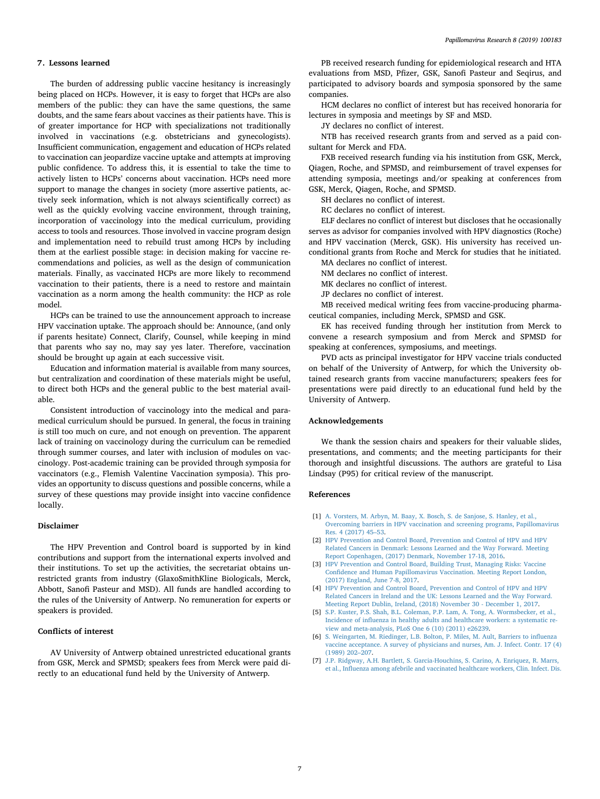#### **7. Lessons learned**

The burden of addressing public vaccine hesitancy is increasingly being placed on HCPs. However, it is easy to forget that HCPs are also members of the public: they can have the same questions, the same doubts, and the same fears about vaccines as their patients have. This is of greater importance for HCP with specializations not traditionally involved in vaccinations (e.g. obstetricians and gynecologists). Insufficient communication, engagement and education of HCPs related to vaccination can jeopardize vaccine uptake and attempts at improving public confidence. To address this, it is essential to take the time to actively listen to HCPs' concerns about vaccination. HCPs need more support to manage the changes in society (more assertive patients, actively seek information, which is not always scientifically correct) as well as the quickly evolving vaccine environment, through training, incorporation of vaccinology into the medical curriculum, providing access to tools and resources. Those involved in vaccine program design and implementation need to rebuild trust among HCPs by including them at the earliest possible stage: in decision making for vaccine recommendations and policies, as well as the design of communication materials. Finally, as vaccinated HCPs are more likely to recommend vaccination to their patients, there is a need to restore and maintain vaccination as a norm among the health community: the HCP as role model.

HCPs can be trained to use the announcement approach to increase HPV vaccination uptake. The approach should be: Announce, (and only if parents hesitate) Connect, Clarify, Counsel, while keeping in mind that parents who say no, may say yes later. Therefore, vaccination should be brought up again at each successive visit.

Education and information material is available from many sources, but centralization and coordination of these materials might be useful, to direct both HCPs and the general public to the best material available.

Consistent introduction of vaccinology into the medical and paramedical curriculum should be pursued. In general, the focus in training is still too much on cure, and not enough on prevention. The apparent lack of training on vaccinology during the curriculum can be remedied through summer courses, and later with inclusion of modules on vaccinology. Post-academic training can be provided through symposia for vaccinators (e.g., Flemish Valentine Vaccination symposia). This provides an opportunity to discuss questions and possible concerns, while a survey of these questions may provide insight into vaccine confidence locally.

### **Disclaimer**

The HPV Prevention and Control board is supported by in kind contributions and support from the international experts involved and their institutions. To set up the activities, the secretariat obtains unrestricted grants from industry (GlaxoSmithKline Biologicals, Merck, Abbott, Sanofi Pasteur and MSD). All funds are handled according to the rules of the University of Antwerp. No remuneration for experts or speakers is provided.

## **Conflicts of interest**

AV University of Antwerp obtained unrestricted educational grants from GSK, Merck and SPMSD; speakers fees from Merck were paid directly to an educational fund held by the University of Antwerp.

PB received research funding for epidemiological research and HTA evaluations from MSD, Pfizer, GSK, Sanofi Pasteur and Seqirus, and participated to advisory boards and symposia sponsored by the same companies.

HCM declares no conflict of interest but has received honoraria for lectures in symposia and meetings by SF and MSD.

JY declares no conflict of interest.

NTB has received research grants from and served as a paid consultant for Merck and FDA.

FXB received research funding via his institution from GSK, Merck, Qiagen, Roche, and SPMSD, and reimbursement of travel expenses for attending symposia, meetings and/or speaking at conferences from GSK, Merck, Qiagen, Roche, and SPMSD.

SH declares no conflict of interest.

RC declares no conflict of interest.

ELF declares no conflict of interest but discloses that he occasionally serves as advisor for companies involved with HPV diagnostics (Roche) and HPV vaccination (Merck, GSK). His university has received unconditional grants from Roche and Merck for studies that he initiated.

- MA declares no conflict of interest.
- NM declares no conflict of interest. MK declares no conflict of interest.
- JP declares no conflict of interest.

MB received medical writing fees from vaccine-producing pharmaceutical companies, including Merck, SPMSD and GSK.

EK has received funding through her institution from Merck to convene a research symposium and from Merck and SPMSD for speaking at conferences, symposiums, and meetings.

PVD acts as principal investigator for HPV vaccine trials conducted on behalf of the University of Antwerp, for which the University obtained research grants from vaccine manufacturers; speakers fees for presentations were paid directly to an educational fund held by the University of Antwerp.

## **Acknowledgements**

We thank the session chairs and speakers for their valuable slides, presentations, and comments; and the meeting participants for their thorough and insightful discussions. The authors are grateful to Lisa Lindsay (P95) for critical review of the manuscript.

#### **References**

- <span id="page-6-0"></span>[1] [A. Vorsters, M. Arbyn, M. Baay, X. Bosch, S. de Sanjose, S. Hanley, et al.,](http://refhub.elsevier.com/S2405-8521(19)30067-9/sref1) [Overcoming barriers in HPV vaccination and screening programs, Papillomavirus](http://refhub.elsevier.com/S2405-8521(19)30067-9/sref1) [Res. 4 \(2017\) 45–53.](http://refhub.elsevier.com/S2405-8521(19)30067-9/sref1)
- [2] [HPV Prevention and Control Board, Prevention and Control of HPV and HPV](http://refhub.elsevier.com/S2405-8521(19)30067-9/sref2) [Related Cancers in Denmark: Lessons Learned and the Way Forward. Meeting](http://refhub.elsevier.com/S2405-8521(19)30067-9/sref2) [Report Copenhagen, \(2017\) Denmark, November 17-18, 2016.](http://refhub.elsevier.com/S2405-8521(19)30067-9/sref2)
- [3] [HPV Prevention and Control Board, Building Trust, Managing Risks: Vaccine](http://refhub.elsevier.com/S2405-8521(19)30067-9/sref3) [Confidence and Human Papillomavirus Vaccination. Meeting Report London,](http://refhub.elsevier.com/S2405-8521(19)30067-9/sref3) [\(2017\) England, June 7-8, 2017.](http://refhub.elsevier.com/S2405-8521(19)30067-9/sref3)
- [4] [HPV Prevention and Control Board, Prevention and Control of HPV and HPV](http://refhub.elsevier.com/S2405-8521(19)30067-9/sref4) [Related Cancers in Ireland and the UK: Lessons Learned and the Way Forward.](http://refhub.elsevier.com/S2405-8521(19)30067-9/sref4) [Meeting Report Dublin, Ireland, \(2018\) November 30 - December 1, 2017.](http://refhub.elsevier.com/S2405-8521(19)30067-9/sref4)
- <span id="page-6-1"></span>[5] [S.P. Kuster, P.S. Shah, B.L. Coleman, P.P. Lam, A. Tong, A. Wormsbecker, et al.,](http://refhub.elsevier.com/S2405-8521(19)30067-9/sref5) [Incidence of influenza in healthy adults and healthcare workers: a systematic re](http://refhub.elsevier.com/S2405-8521(19)30067-9/sref5)[view and meta-analysis, PLoS One 6 \(10\) \(2011\) e26239.](http://refhub.elsevier.com/S2405-8521(19)30067-9/sref5)
- <span id="page-6-2"></span>[6] [S. Weingarten, M. Riedinger, L.B. Bolton, P. Miles, M. Ault, Barriers to influenza](http://refhub.elsevier.com/S2405-8521(19)30067-9/sref6) [vaccine acceptance. A survey of physicians and nurses, Am. J. Infect. Contr. 17 \(4\)](http://refhub.elsevier.com/S2405-8521(19)30067-9/sref6) [\(1989\) 202–207.](http://refhub.elsevier.com/S2405-8521(19)30067-9/sref6)
- <span id="page-6-3"></span>[7] [J.P. Ridgway, A.H. Bartlett, S. Garcia-Houchins, S. Carino, A. Enriquez, R. Marrs,](http://refhub.elsevier.com/S2405-8521(19)30067-9/sref7) [et al., Influenza among afebrile and vaccinated healthcare workers, Clin. Infect. Dis.](http://refhub.elsevier.com/S2405-8521(19)30067-9/sref7)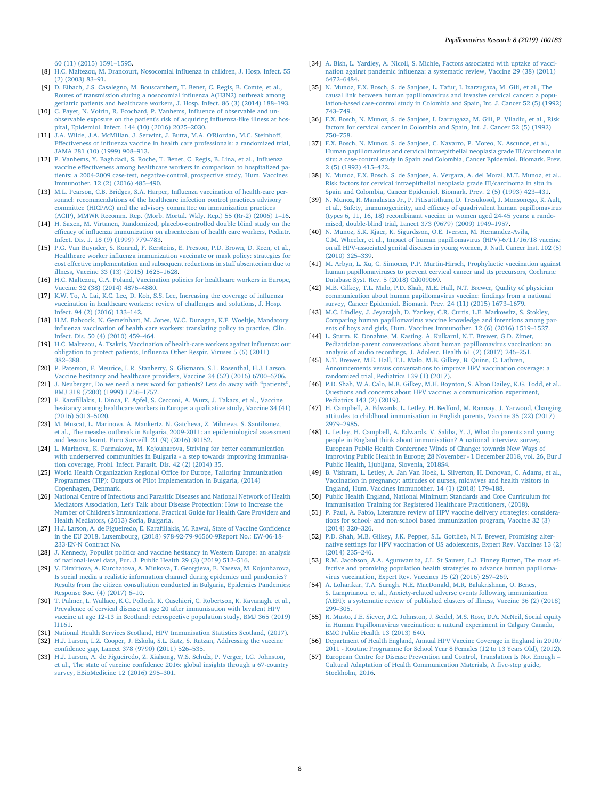[60 \(11\) \(2015\) 1591–1595.](http://refhub.elsevier.com/S2405-8521(19)30067-9/sref7)

- <span id="page-7-0"></span>[8] [H.C. Maltezou, M. Drancourt, Nosocomial influenza in children, J. Hosp. Infect. 55](http://refhub.elsevier.com/S2405-8521(19)30067-9/sref8) [\(2\) \(2003\) 83–91.](http://refhub.elsevier.com/S2405-8521(19)30067-9/sref8)
- [9] [D. Eibach, J.S. Casalegno, M. Bouscambert, T. Benet, C. Regis, B. Comte, et al.,](http://refhub.elsevier.com/S2405-8521(19)30067-9/sref9) [Routes of transmission during a nosocomial influenza A\(H3N2\) outbreak among](http://refhub.elsevier.com/S2405-8521(19)30067-9/sref9) [geriatric patients and healthcare workers, J. Hosp. Infect. 86 \(3\) \(2014\) 188–193.](http://refhub.elsevier.com/S2405-8521(19)30067-9/sref9)
- [10] [C. Payet, N. Voirin, R. Ecochard, P. Vanhems, Influence of observable and un](http://refhub.elsevier.com/S2405-8521(19)30067-9/sref10)[observable exposure on the patient's risk of acquiring influenza-like illness at hos](http://refhub.elsevier.com/S2405-8521(19)30067-9/sref10)[pital, Epidemiol. Infect. 144 \(10\) \(2016\) 2025–2030.](http://refhub.elsevier.com/S2405-8521(19)30067-9/sref10)
- <span id="page-7-1"></span>[11] [J.A. Wilde, J.A. McMillan, J. Serwint, J. Butta, M.A. O'Riordan, M.C. Steinhoff,](http://refhub.elsevier.com/S2405-8521(19)30067-9/sref11) [Effectiveness of influenza vaccine in health care professionals: a randomized trial,](http://refhub.elsevier.com/S2405-8521(19)30067-9/sref11) [JAMA 281 \(10\) \(1999\) 908–913.](http://refhub.elsevier.com/S2405-8521(19)30067-9/sref11)
- [12] [P. Vanhems, Y. Baghdadi, S. Roche, T. Benet, C. Regis, B. Lina, et al., Influenza](http://refhub.elsevier.com/S2405-8521(19)30067-9/sref12) [vaccine effectiveness among healthcare workers in comparison to hospitalized pa](http://refhub.elsevier.com/S2405-8521(19)30067-9/sref12)[tients: a 2004-2009 case-test, negative-control, prospective study, Hum. Vaccines](http://refhub.elsevier.com/S2405-8521(19)30067-9/sref12) [Immunother. 12 \(2\) \(2016\) 485–490.](http://refhub.elsevier.com/S2405-8521(19)30067-9/sref12)
- [13] [M.L. Pearson, C.B. Bridges, S.A. Harper, Influenza vaccination of health-care per](http://refhub.elsevier.com/S2405-8521(19)30067-9/sref13)[sonnel: recommendations of the healthcare infection control practices advisory](http://refhub.elsevier.com/S2405-8521(19)30067-9/sref13) [committee \(HICPAC\) and the advisory committee on immunization practices](http://refhub.elsevier.com/S2405-8521(19)30067-9/sref13) [\(ACIP\), MMWR Recomm. Rep. \(Morb. Mortal. Wkly. Rep.\) 55 \(Rr-2\) \(2006\) 1–16.](http://refhub.elsevier.com/S2405-8521(19)30067-9/sref13)
- [14] [H. Saxen, M. Virtanen, Randomized, placebo-controlled double blind study on the](http://refhub.elsevier.com/S2405-8521(19)30067-9/sref14) [efficacy of influenza immunization on absenteeism of health care workers, Pediatr.](http://refhub.elsevier.com/S2405-8521(19)30067-9/sref14) [Infect. Dis. J. 18 \(9\) \(1999\) 779–783.](http://refhub.elsevier.com/S2405-8521(19)30067-9/sref14)
- [15] [P.G. Van Buynder, S. Konrad, F. Kersteins, E. Preston, P.D. Brown, D. Keen, et al.,](http://refhub.elsevier.com/S2405-8521(19)30067-9/sref15) [Healthcare worker influenza immunization vaccinate or mask policy: strategies for](http://refhub.elsevier.com/S2405-8521(19)30067-9/sref15) [cost effective implementation and subsequent reductions in staff absenteeism due to](http://refhub.elsevier.com/S2405-8521(19)30067-9/sref15) [illness, Vaccine 33 \(13\) \(2015\) 1625–1628.](http://refhub.elsevier.com/S2405-8521(19)30067-9/sref15)
- <span id="page-7-2"></span>[16] [H.C. Maltezou, G.A. Poland, Vaccination policies for healthcare workers in Europe,](http://refhub.elsevier.com/S2405-8521(19)30067-9/sref16) [Vaccine 32 \(38\) \(2014\) 4876–4880.](http://refhub.elsevier.com/S2405-8521(19)30067-9/sref16)
- <span id="page-7-3"></span>[17] [K.W. To, A. Lai, K.C. Lee, D. Koh, S.S. Lee, Increasing the coverage of influenza](http://refhub.elsevier.com/S2405-8521(19)30067-9/sref17) [vaccination in healthcare workers: review of challenges and solutions, J. Hosp.](http://refhub.elsevier.com/S2405-8521(19)30067-9/sref17) [Infect. 94 \(2\) \(2016\) 133–142.](http://refhub.elsevier.com/S2405-8521(19)30067-9/sref17)
- <span id="page-7-4"></span>[18] [H.M. Babcock, N. Gemeinhart, M. Jones, W.C. Dunagan, K.F. Woeltje, Mandatory](http://refhub.elsevier.com/S2405-8521(19)30067-9/sref18) [influenza vaccination of health care workers: translating policy to practice, Clin.](http://refhub.elsevier.com/S2405-8521(19)30067-9/sref18) [Infect. Dis. 50 \(4\) \(2010\) 459–464.](http://refhub.elsevier.com/S2405-8521(19)30067-9/sref18)
- <span id="page-7-5"></span>[19] [H.C. Maltezou, A. Tsakris, Vaccination of health-care workers against influenza: our](http://refhub.elsevier.com/S2405-8521(19)30067-9/sref19) [obligation to protect patients, Influenza Other Respir. Viruses 5 \(6\) \(2011\)](http://refhub.elsevier.com/S2405-8521(19)30067-9/sref19) [382–388.](http://refhub.elsevier.com/S2405-8521(19)30067-9/sref19)
- <span id="page-7-6"></span>[20] [P. Paterson, F. Meurice, L.R. Stanberry, S. Glismann, S.L. Rosenthal, H.J. Larson,](http://refhub.elsevier.com/S2405-8521(19)30067-9/sref20) [Vaccine hesitancy and healthcare providers, Vaccine 34 \(52\) \(2016\) 6700–6706.](http://refhub.elsevier.com/S2405-8521(19)30067-9/sref20)
- <span id="page-7-7"></span>[21] J. Neuberger, Do we need a new word for patients? Lets do away with "patients". [BMJ 318 \(7200\) \(1999\) 1756–1757.](http://refhub.elsevier.com/S2405-8521(19)30067-9/sref21)
- <span id="page-7-8"></span>[22] [E. Karafillakis, I. Dinca, F. Apfel, S. Cecconi, A. Wurz, J. Takacs, et al., Vaccine](http://refhub.elsevier.com/S2405-8521(19)30067-9/sref22) [hesitancy among healthcare workers in Europe: a qualitative study, Vaccine 34 \(41\)](http://refhub.elsevier.com/S2405-8521(19)30067-9/sref22) [\(2016\) 5013–5020.](http://refhub.elsevier.com/S2405-8521(19)30067-9/sref22)
- <span id="page-7-9"></span>[23] [M. Muscat, L. Marinova, A. Mankertz, N. Gatcheva, Z. Mihneva, S. Santibanez,](http://refhub.elsevier.com/S2405-8521(19)30067-9/sref23) [et al., The measles outbreak in Bulgaria, 2009-2011: an epidemiological assessment](http://refhub.elsevier.com/S2405-8521(19)30067-9/sref23) [and lessons learnt, Euro Surveill. 21 \(9\) \(2016\) 30152.](http://refhub.elsevier.com/S2405-8521(19)30067-9/sref23)
- <span id="page-7-10"></span>[24] [L. Marinova, K. Parmakova, M. Kojouharova, Striving for better communication](http://refhub.elsevier.com/S2405-8521(19)30067-9/sref24) [with underserved communities in Bulgaria - a step towards improving immunisa](http://refhub.elsevier.com/S2405-8521(19)30067-9/sref24)[tion coverage, Probl. Infect. Parasit. Dis. 42 \(2\) \(2014\) 35.](http://refhub.elsevier.com/S2405-8521(19)30067-9/sref24)
- <span id="page-7-11"></span>[25] [World Health Organization Regional Office for Europe, Tailoring Immunization](http://refhub.elsevier.com/S2405-8521(19)30067-9/sref25) [Programmes \(TIP\): Outputs of Pilot Implementation in Bulgaria, \(2014\)](http://refhub.elsevier.com/S2405-8521(19)30067-9/sref25) [Copenhagen, Denmark.](http://refhub.elsevier.com/S2405-8521(19)30067-9/sref25)
- <span id="page-7-12"></span>[26] [National Centre of Infectious and Parasitic Diseases and National Network of Health](http://refhub.elsevier.com/S2405-8521(19)30067-9/sref26) [Mediators Association, Let's Talk about Disease Protection: How to Increase the](http://refhub.elsevier.com/S2405-8521(19)30067-9/sref26) [Number of Children's Immunizations. Practical Guide for Health Care Providers and](http://refhub.elsevier.com/S2405-8521(19)30067-9/sref26) [Health Mediators, \(2013\) Sofia, Bulgaria.](http://refhub.elsevier.com/S2405-8521(19)30067-9/sref26)
- <span id="page-7-13"></span>[27] [H.J. Larson, A. de Figueiredo, E. Karafillakis, M. Rawal, State of Vaccine Confidence](http://refhub.elsevier.com/S2405-8521(19)30067-9/sref27) [in the EU 2018. Luxembourg, \(2018\) 978-92-79-96560-9Report No.: EW-06-18-](http://refhub.elsevier.com/S2405-8521(19)30067-9/sref27) [233-EN-N Contract No.](http://refhub.elsevier.com/S2405-8521(19)30067-9/sref27)
- <span id="page-7-14"></span>[28] [J. Kennedy, Populist politics and vaccine hesitancy in Western Europe: an analysis](http://refhub.elsevier.com/S2405-8521(19)30067-9/sref28) [of national-level data, Eur. J. Public Health 29 \(3\) \(2019\) 512–516.](http://refhub.elsevier.com/S2405-8521(19)30067-9/sref28)
- <span id="page-7-15"></span>[29] [V. Dimirtova, A. Kurchatova, A. Minkova, T. Georgieva, E. Naseva, M. Kojouharova,](http://refhub.elsevier.com/S2405-8521(19)30067-9/sref29) [Is social media a realistic information channel during epidemics and pandemics?](http://refhub.elsevier.com/S2405-8521(19)30067-9/sref29) [Results from the citizen consultation conducted in Bulgaria, Epidemics Pandemics:](http://refhub.elsevier.com/S2405-8521(19)30067-9/sref29) [Response Soc. \(4\) \(2017\) 6–10.](http://refhub.elsevier.com/S2405-8521(19)30067-9/sref29)
- <span id="page-7-16"></span>[30] [T. Palmer, L. Wallace, K.G. Pollock, K. Cuschieri, C. Robertson, K. Kavanagh, et al.,](http://refhub.elsevier.com/S2405-8521(19)30067-9/sref30) [Prevalence of cervical disease at age 20 after immunisation with bivalent HPV](http://refhub.elsevier.com/S2405-8521(19)30067-9/sref30) [vaccine at age 12-13 in Scotland: retrospective population study, BMJ 365 \(2019\)](http://refhub.elsevier.com/S2405-8521(19)30067-9/sref30) [l1161.](http://refhub.elsevier.com/S2405-8521(19)30067-9/sref30)
- <span id="page-7-17"></span>[31] [National Health Services Scotland, HPV Immunisation Statistics Scotland, \(2017\).](http://refhub.elsevier.com/S2405-8521(19)30067-9/sref31)
- <span id="page-7-18"></span>[32] [H.J. Larson, L.Z. Cooper, J. Eskola, S.L. Katz, S. Ratzan, Addressing the vaccine](http://refhub.elsevier.com/S2405-8521(19)30067-9/sref32) [confidence gap, Lancet 378 \(9790\) \(2011\) 526–535.](http://refhub.elsevier.com/S2405-8521(19)30067-9/sref32)
- <span id="page-7-19"></span>[33] [H.J. Larson, A. de Figueiredo, Z. Xiahong, W.S. Schulz, P. Verger, I.G. Johnston,](http://refhub.elsevier.com/S2405-8521(19)30067-9/sref33) [et al., The state of vaccine confidence 2016: global insights through a 67-country](http://refhub.elsevier.com/S2405-8521(19)30067-9/sref33) [survey, EBioMedicine 12 \(2016\) 295–301.](http://refhub.elsevier.com/S2405-8521(19)30067-9/sref33)
- <span id="page-7-20"></span>[34] [A. Bish, L. Yardley, A. Nicoll, S. Michie, Factors associated with uptake of vacci](http://refhub.elsevier.com/S2405-8521(19)30067-9/sref34)[nation against pandemic influenza: a systematic review, Vaccine 29 \(38\) \(2011\)](http://refhub.elsevier.com/S2405-8521(19)30067-9/sref34) [6472–6484.](http://refhub.elsevier.com/S2405-8521(19)30067-9/sref34)
- <span id="page-7-21"></span>[35] [N. Munoz, F.X. Bosch, S. de Sanjose, L. Tafur, I. Izarzugaza, M. Gili, et al., The](http://refhub.elsevier.com/S2405-8521(19)30067-9/sref35) [causal link between human papillomavirus and invasive cervical cancer: a popu](http://refhub.elsevier.com/S2405-8521(19)30067-9/sref35)[lation-based case-control study in Colombia and Spain, Int. J. Cancer 52 \(5\) \(1992\)](http://refhub.elsevier.com/S2405-8521(19)30067-9/sref35) [743–749.](http://refhub.elsevier.com/S2405-8521(19)30067-9/sref35)
- [36] [F.X. Bosch, N. Munoz, S. de Sanjose, I. Izarzugaza, M. Gili, P. Viladiu, et al., Risk](http://refhub.elsevier.com/S2405-8521(19)30067-9/sref36) [factors for cervical cancer in Colombia and Spain, Int. J. Cancer 52 \(5\) \(1992\)](http://refhub.elsevier.com/S2405-8521(19)30067-9/sref36) [750–758.](http://refhub.elsevier.com/S2405-8521(19)30067-9/sref36)
- [37] [F.X. Bosch, N. Munoz, S. de Sanjose, C. Navarro, P. Moreo, N. Ascunce, et al.,](http://refhub.elsevier.com/S2405-8521(19)30067-9/sref37) [Human papillomavirus and cervical intraepithelial neoplasia grade III/carcinoma in](http://refhub.elsevier.com/S2405-8521(19)30067-9/sref37) [situ: a case-control study in Spain and Colombia, Cancer Epidemiol. Biomark. Prev.](http://refhub.elsevier.com/S2405-8521(19)30067-9/sref37) [2 \(5\) \(1993\) 415–422.](http://refhub.elsevier.com/S2405-8521(19)30067-9/sref37)
- [38] [N. Munoz, F.X. Bosch, S. de Sanjose, A. Vergara, A. del Moral, M.T. Munoz, et al.,](http://refhub.elsevier.com/S2405-8521(19)30067-9/sref38) [Risk factors for cervical intraepithelial neoplasia grade III/carcinoma in situ in](http://refhub.elsevier.com/S2405-8521(19)30067-9/sref38) [Spain and Colombia, Cancer Epidemiol. Biomark. Prev. 2 \(5\) \(1993\) 423–431.](http://refhub.elsevier.com/S2405-8521(19)30067-9/sref38)
- [39] [N. Munoz, R. Manalastas Jr., P. Pitisuttithum, D. Tresukosol, J. Monsonego, K. Ault,](http://refhub.elsevier.com/S2405-8521(19)30067-9/sref39) [et al., Safety, immunogenicity, and efficacy of quadrivalent human papillomavirus](http://refhub.elsevier.com/S2405-8521(19)30067-9/sref39) [\(types 6, 11, 16, 18\) recombinant vaccine in women aged 24-45 years: a rando](http://refhub.elsevier.com/S2405-8521(19)30067-9/sref39)[mised, double-blind trial, Lancet 373 \(9679\) \(2009\) 1949–1957.](http://refhub.elsevier.com/S2405-8521(19)30067-9/sref39)
- [40] [N. Munoz, S.K. Kjaer, K. Sigurdsson, O.E. Iversen, M. Hernandez-Avila,](http://refhub.elsevier.com/S2405-8521(19)30067-9/sref40) [C.M. Wheeler, et al., Impact of human papillomavirus \(HPV\)-6/11/16/18 vaccine](http://refhub.elsevier.com/S2405-8521(19)30067-9/sref40) [on all HPV-associated genital diseases in young women, J. Natl. Cancer Inst. 102 \(5\)](http://refhub.elsevier.com/S2405-8521(19)30067-9/sref40) [\(2010\) 325–339.](http://refhub.elsevier.com/S2405-8521(19)30067-9/sref40)
- <span id="page-7-22"></span>[41] [M. Arbyn, L. Xu, C. Simoens, P.P. Martin-Hirsch, Prophylactic vaccination against](http://refhub.elsevier.com/S2405-8521(19)30067-9/sref41) [human papillomaviruses to prevent cervical cancer and its precursors, Cochrane](http://refhub.elsevier.com/S2405-8521(19)30067-9/sref41) [Database Syst. Rev. 5 \(2018\) Cd009069.](http://refhub.elsevier.com/S2405-8521(19)30067-9/sref41)
- <span id="page-7-23"></span>[42] [M.B. Gilkey, T.L. Malo, P.D. Shah, M.E. Hall, N.T. Brewer, Quality of physician](http://refhub.elsevier.com/S2405-8521(19)30067-9/sref42) [communication about human papillomavirus vaccine: findings from a national](http://refhub.elsevier.com/S2405-8521(19)30067-9/sref42) [survey, Cancer Epidemiol. Biomark. Prev. 24 \(11\) \(2015\) 1673–1679.](http://refhub.elsevier.com/S2405-8521(19)30067-9/sref42)
- <span id="page-7-24"></span>[43] [M.C. Lindley, J. Jeyarajah, D. Yankey, C.R. Curtis, L.E. Markowitz, S. Stokley,](http://refhub.elsevier.com/S2405-8521(19)30067-9/sref43) [Comparing human papillomavirus vaccine knowledge and intentions among par](http://refhub.elsevier.com/S2405-8521(19)30067-9/sref43)[ents of boys and girls, Hum. Vaccines Immunother. 12 \(6\) \(2016\) 1519–1527.](http://refhub.elsevier.com/S2405-8521(19)30067-9/sref43)
- <span id="page-7-25"></span>[44] [L. Sturm, K. Donahue, M. Kasting, A. Kulkarni, N.T. Brewer, G.D. Zimet,](http://refhub.elsevier.com/S2405-8521(19)30067-9/sref44) [Pediatrician-parent conversations about human papillomavirus vaccination: an](http://refhub.elsevier.com/S2405-8521(19)30067-9/sref44) [analysis of audio recordings, J. Adolesc. Health 61 \(2\) \(2017\) 246–251.](http://refhub.elsevier.com/S2405-8521(19)30067-9/sref44)
- <span id="page-7-26"></span>[45] [N.T. Brewer, M.E. Hall, T.L. Malo, M.B. Gilkey, B. Quinn, C. Lathren,](http://refhub.elsevier.com/S2405-8521(19)30067-9/sref45) [Announcements versus conversations to improve HPV vaccination coverage: a](http://refhub.elsevier.com/S2405-8521(19)30067-9/sref45) [randomized trial, Pediatrics 139 \(1\) \(2017\).](http://refhub.elsevier.com/S2405-8521(19)30067-9/sref45)
- <span id="page-7-27"></span>[46] [P.D. Shah, W.A. Calo, M.B. Gilkey, M.H. Boynton, S. Alton Dailey, K.G. Todd, et al.,](http://refhub.elsevier.com/S2405-8521(19)30067-9/sref46) [Questions and concerns about HPV vaccine: a communication experiment,](http://refhub.elsevier.com/S2405-8521(19)30067-9/sref46) [Pediatrics 143 \(2\) \(2019\).](http://refhub.elsevier.com/S2405-8521(19)30067-9/sref46)
- <span id="page-7-28"></span>[47] [H. Campbell, A. Edwards, L. Letley, H. Bedford, M. Ramsay, J. Yarwood, Changing](http://refhub.elsevier.com/S2405-8521(19)30067-9/sref47) [attitudes to childhood immunisation in English parents, Vaccine 35 \(22\) \(2017\)](http://refhub.elsevier.com/S2405-8521(19)30067-9/sref47) [2979–2985.](http://refhub.elsevier.com/S2405-8521(19)30067-9/sref47)
- <span id="page-7-29"></span>[48] [L. Letley, H. Campbell, A. Edwards, V. Saliba, Y. J, What do parents and young](http://refhub.elsevier.com/S2405-8521(19)30067-9/sref48) [people in England think about immunisation? A national interview survey,](http://refhub.elsevier.com/S2405-8521(19)30067-9/sref48) [European Public Health Conference Winds of Change: towards New Ways of](http://refhub.elsevier.com/S2405-8521(19)30067-9/sref48) [Improving Public Health in Europe; 28 November - 1 December 2018, vol. 26, Eur J](http://refhub.elsevier.com/S2405-8521(19)30067-9/sref48) [Public Health, Ljubljana, Slovenia, 2018S4.](http://refhub.elsevier.com/S2405-8521(19)30067-9/sref48)
- <span id="page-7-30"></span>[49] [B. Vishram, L. Letley, A. Jan Van Hoek, L. Silverton, H. Donovan, C. Adams, et al.,](http://refhub.elsevier.com/S2405-8521(19)30067-9/sref49) [Vaccination in pregnancy: attitudes of nurses, midwives and health visitors in](http://refhub.elsevier.com/S2405-8521(19)30067-9/sref49) [England, Hum. Vaccines Immunother. 14 \(1\) \(2018\) 179–188.](http://refhub.elsevier.com/S2405-8521(19)30067-9/sref49)
- <span id="page-7-31"></span>[50] [Public Health England, National Minimum Standards and Core Curriculum for](http://refhub.elsevier.com/S2405-8521(19)30067-9/sref50) [Immunisation Training for Registered Healthcare Practitioners, \(2018\).](http://refhub.elsevier.com/S2405-8521(19)30067-9/sref50)
- <span id="page-7-32"></span>[51] [P. Paul, A. Fabio, Literature review of HPV vaccine delivery strategies: considera](http://refhub.elsevier.com/S2405-8521(19)30067-9/sref51)[tions for school- and non-school based immunization program, Vaccine 32 \(3\)](http://refhub.elsevier.com/S2405-8521(19)30067-9/sref51) [\(2014\) 320–326.](http://refhub.elsevier.com/S2405-8521(19)30067-9/sref51)
- [52] [P.D. Shah, M.B. Gilkey, J.K. Pepper, S.L. Gottlieb, N.T. Brewer, Promising alter](http://refhub.elsevier.com/S2405-8521(19)30067-9/sref52)[native settings for HPV vaccination of US adolescents, Expert Rev. Vaccines 13 \(2\)](http://refhub.elsevier.com/S2405-8521(19)30067-9/sref52) [\(2014\) 235–246.](http://refhub.elsevier.com/S2405-8521(19)30067-9/sref52)
- [53] [R.M. Jacobson, A.A. Agunwamba, J.L. St Sauver, L.J. Finney Rutten, The most ef](http://refhub.elsevier.com/S2405-8521(19)30067-9/sref53)[fective and promising population health strategies to advance human papilloma](http://refhub.elsevier.com/S2405-8521(19)30067-9/sref53)[virus vaccination, Expert Rev. Vaccines 15 \(2\) \(2016\) 257–269.](http://refhub.elsevier.com/S2405-8521(19)30067-9/sref53)
- <span id="page-7-33"></span>[54] [A. Loharikar, T.A. Suragh, N.E. MacDonald, M.R. Balakrishnan, O. Benes,](http://refhub.elsevier.com/S2405-8521(19)30067-9/sref54) [S. Lamprianou, et al., Anxiety-related adverse events following immunization](http://refhub.elsevier.com/S2405-8521(19)30067-9/sref54) [\(AEFI\): a systematic review of published clusters of illness, Vaccine 36 \(2\) \(2018\)](http://refhub.elsevier.com/S2405-8521(19)30067-9/sref54) [299–305.](http://refhub.elsevier.com/S2405-8521(19)30067-9/sref54)
- <span id="page-7-34"></span>[55] [R. Musto, J.E. Siever, J.C. Johnston, J. Seidel, M.S. Rose, D.A. McNeil, Social equity](http://refhub.elsevier.com/S2405-8521(19)30067-9/sref55) [in Human Papillomavirus vaccination: a natural experiment in Calgary Canada,](http://refhub.elsevier.com/S2405-8521(19)30067-9/sref55) [BMC Public Health 13 \(2013\) 640.](http://refhub.elsevier.com/S2405-8521(19)30067-9/sref55)
- <span id="page-7-35"></span>[56] [Department of Health England, Annual HPV Vaccine Coverage in England in 2010/](http://refhub.elsevier.com/S2405-8521(19)30067-9/sref56) [2011 - Routine Programme for School Year 8 Females \(12 to 13 Years Old\), \(2012\).](http://refhub.elsevier.com/S2405-8521(19)30067-9/sref56)
- <span id="page-7-36"></span>[57] [European Centre for Disease Prevention and Control, Translation Is Not Enough –](http://refhub.elsevier.com/S2405-8521(19)30067-9/sref57) [Cultural Adaptation of Health Communication Materials, A five-step guide,](http://refhub.elsevier.com/S2405-8521(19)30067-9/sref57) [Stockholm, 2016.](http://refhub.elsevier.com/S2405-8521(19)30067-9/sref57)